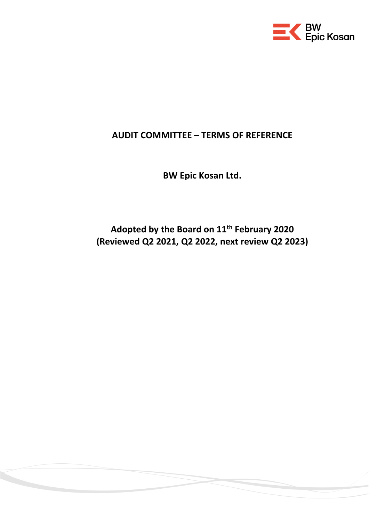

# **AUDIT COMMITTEE – TERMS OF REFERENCE**

**BW Epic Kosan Ltd.**

**Adopted by the Board on 11th February 2020 (Reviewed Q2 2021, Q2 2022, next review Q2 2023)**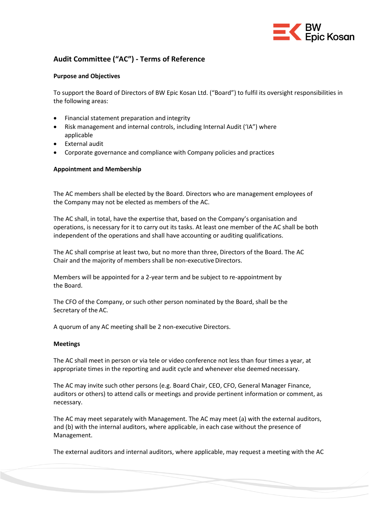

# **Audit Committee ("AC") - Terms of Reference**

#### **Purpose and Objectives**

To support the Board of Directors of BW Epic Kosan Ltd. ("Board") to fulfil its oversight responsibilities in the following areas:

- Financial statement preparation and integrity
- Risk management and internal controls, including Internal Audit ('IA") where applicable
- External audit
- Corporate governance and compliance with Company policies and practices

# **Appointment and Membership**

The AC members shall be elected by the Board. Directors who are management employees of the Company may not be elected as members of the AC.

The AC shall, in total, have the expertise that, based on the Company's organisation and operations, is necessary for it to carry out its tasks. At least one member of the AC shall be both independent of the operations and shall have accounting or auditing qualifications.

The AC shall comprise at least two, but no more than three, Directors of the Board. The AC Chair and the majority of members shall be non-executive Directors.

Members will be appointed for a 2-year term and be subject to re-appointment by the Board.

The CFO of the Company, or such other person nominated by the Board, shall be the Secretary of the AC.

A quorum of any AC meeting shall be 2 non-executive Directors.

# **Meetings**

The AC shall meet in person or via tele or video conference not less than four times a year, at appropriate times in the reporting and audit cycle and whenever else deemed necessary.

The AC may invite such other persons (e.g. Board Chair, CEO, CFO, General Manager Finance, auditors or others) to attend calls or meetings and provide pertinent information or comment, as necessary.

The AC may meet separately with Management. The AC may meet (a) with the external auditors, and (b) with the internal auditors, where applicable, in each case without the presence of Management.

The external auditors and internal auditors, where applicable, may request a meeting with the AC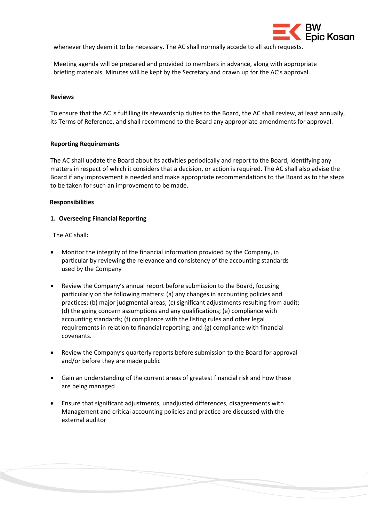

whenever they deem it to be necessary. The AC shall normally accede to all such requests.

Meeting agenda will be prepared and provided to members in advance, along with appropriate briefing materials. Minutes will be kept by the Secretary and drawn up for the AC's approval.

#### **Reviews**

To ensure that the AC is fulfilling its stewardship duties to the Board, the AC shall review, at least annually, its Terms of Reference, and shall recommend to the Board any appropriate amendments for approval.

#### **Reporting Requirements**

The AC shall update the Board about its activities periodically and report to the Board, identifying any matters in respect of which it considers that a decision, or action is required. The AC shall also advise the Board if any improvement is needed and make appropriate recommendations to the Board as to the steps to be taken for such an improvement to be made.

#### **Responsibilities**

#### **1. Overseeing Financial Reporting**

The AC shall**:**

- Monitor the integrity of the financial information provided by the Company, in particular by reviewing the relevance and consistency of the accounting standards used by the Company
- Review the Company's annual report before submission to the Board, focusing particularly on the following matters: (a) any changes in accounting policies and practices; (b) major judgmental areas; (c) significant adjustments resulting from audit; (d) the going concern assumptions and any qualifications; (e) compliance with accounting standards; (f) compliance with the listing rules and other legal requirements in relation to financial reporting; and (g) compliance with financial covenants.
- Review the Company's quarterly reports before submission to the Board for approval and/or before they are made public
- Gain an understanding of the current areas of greatest financial risk and how these are being managed
- Ensure that significant adjustments, unadjusted differences, disagreements with Management and critical accounting policies and practice are discussed with the external auditor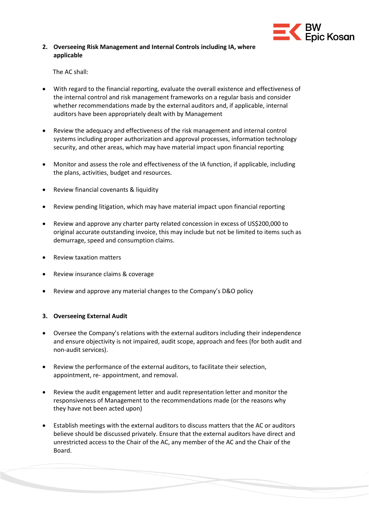

# **2. Overseeing Risk Management and Internal Controls including IA, where applicable**

The AC shall:

- With regard to the financial reporting, evaluate the overall existence and effectiveness of the internal control and risk management frameworks on a regular basis and consider whether recommendations made by the external auditors and, if applicable, internal auditors have been appropriately dealt with by Management
- Review the adequacy and effectiveness of the risk management and internal control systems including proper authorization and approval processes, information technology security, and other areas, which may have material impact upon financial reporting
- Monitor and assess the role and effectiveness of the IA function, if applicable, including the plans, activities, budget and resources.
- Review financial covenants & liquidity
- Review pending litigation, which may have material impact upon financial reporting
- Review and approve any charter party related concession in excess of US\$200,000 to original accurate outstanding invoice, this may include but not be limited to items such as demurrage, speed and consumption claims.
- Review taxation matters
- Review insurance claims & coverage
- Review and approve any material changes to the Company's D&O policy

# **3. Overseeing External Audit**

- Oversee the Company's relations with the external auditors including their independence and ensure objectivity is not impaired, audit scope, approach and fees (for both audit and non-audit services).
- Review the performance of the external auditors, to facilitate their selection, appointment, re- appointment, and removal.
- Review the audit engagement letter and audit representation letter and monitor the responsiveness of Management to the recommendations made (or the reasons why they have not been acted upon)
- Establish meetings with the external auditors to discuss matters that the AC or auditors believe should be discussed privately. Ensure that the external auditors have direct and unrestricted access to the Chair of the AC, any member of the AC and the Chair of the Board.